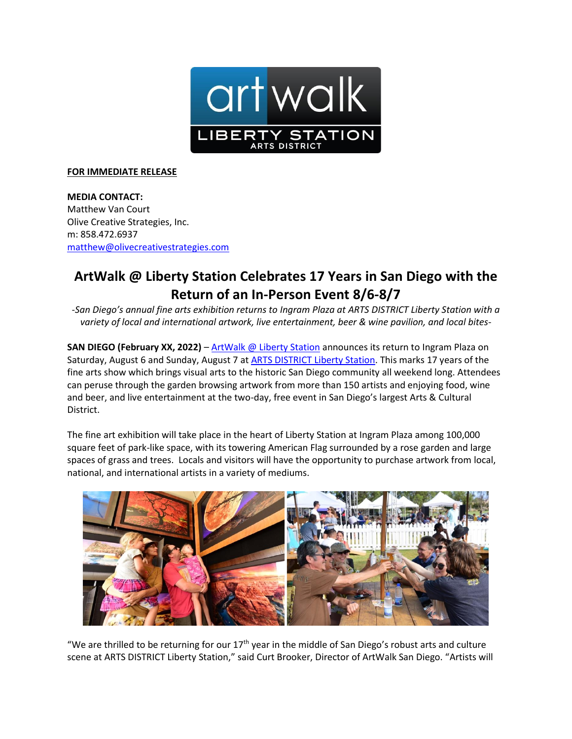

## **FOR IMMEDIATE RELEASE**

**MEDIA CONTACT:**  Matthew Van Court Olive Creative Strategies, Inc. m: 858.472.6937 [matthew@olivecreativestrategies.com](mailto:matthew@olivecreativestrategies.com)

## **ArtWalk @ Liberty Station Celebrates 17 Years in San Diego with the Return of an In-Person Event 8/6-8/7**

*-San Diego's annual fine arts exhibition returns to Ingram Plaza at ARTS DISTRICT Liberty Station with a variety of local and international artwork, live entertainment, beer & wine pavilion, and local bites-*

**SAN DIEGO (February XX, 2022)** – [ArtWalk @ Liberty Station](http://www.artwalksandiego.org/libertystation) announces its return to Ingram Plaza on Saturday, August 6 and Sunday, August 7 at **ARTS DISTRICT Liberty Station**. This marks 17 years of the fine arts show which brings visual arts to the historic San Diego community all weekend long. Attendees can peruse through the garden browsing artwork from more than 150 artists and enjoying food, wine and beer, and live entertainment at the two-day, free event in San Diego's largest Arts & Cultural District.

The fine art exhibition will take place in the heart of Liberty Station at Ingram Plaza among 100,000 square feet of park-like space, with its towering American Flag surrounded by a rose garden and large spaces of grass and trees. Locals and visitors will have the opportunity to purchase artwork from local, national, and international artists in a variety of mediums.



"We are thrilled to be returning for our  $17<sup>th</sup>$  year in the middle of San Diego's robust arts and culture scene at ARTS DISTRICT Liberty Station," said Curt Brooker, Director of ArtWalk San Diego. "Artists will